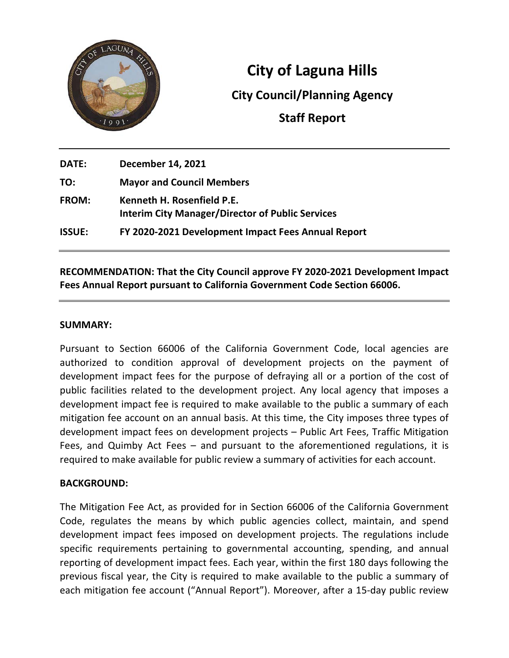

# **City of Laguna Hills**

**City Council/Planning Agency**

**Staff Report**

| <b>DATE:</b>  | <b>December 14, 2021</b>                                                              |
|---------------|---------------------------------------------------------------------------------------|
| TO:           | <b>Mayor and Council Members</b>                                                      |
| FROM:         | Kenneth H. Rosenfield P.E.<br><b>Interim City Manager/Director of Public Services</b> |
| <b>ISSUE:</b> | FY 2020-2021 Development Impact Fees Annual Report                                    |

# **RECOMMENDATION: That the City Council approve FY 2020-2021 Development Impact Fees Annual Report pursuant to California Government Code Section 66006.**

## **SUMMARY:**

Pursuant to Section 66006 of the California Government Code, local agencies are authorized to condition approval of development projects on the payment of development impact fees for the purpose of defraying all or a portion of the cost of public facilities related to the development project. Any local agency that imposes a development impact fee is required to make available to the public a summary of each mitigation fee account on an annual basis. At this time, the City imposes three types of development impact fees on development projects – Public Art Fees, Traffic Mitigation Fees, and Quimby Act Fees – and pursuant to the aforementioned regulations, it is required to make available for public review a summary of activities for each account.

#### **BACKGROUND:**

The Mitigation Fee Act, as provided for in Section 66006 of the California Government Code, regulates the means by which public agencies collect, maintain, and spend development impact fees imposed on development projects. The regulations include specific requirements pertaining to governmental accounting, spending, and annual reporting of development impact fees. Each year, within the first 180 days following the previous fiscal year, the City is required to make available to the public a summary of each mitigation fee account ("Annual Report"). Moreover, after a 15-day public review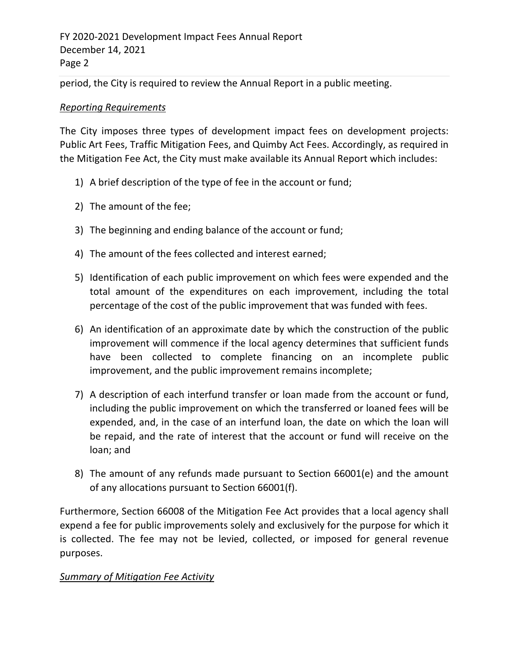FY 2020-2021 Development Impact Fees Annual Report December 14, 2021 Page 2

period, the City is required to review the Annual Report in a public meeting.

# *Reporting Requirements*

The City imposes three types of development impact fees on development projects: Public Art Fees, Traffic Mitigation Fees, and Quimby Act Fees. Accordingly, as required in the Mitigation Fee Act, the City must make available its Annual Report which includes:

- 1) A brief description of the type of fee in the account or fund;
- 2) The amount of the fee;
- 3) The beginning and ending balance of the account or fund;
- 4) The amount of the fees collected and interest earned;
- 5) Identification of each public improvement on which fees were expended and the total amount of the expenditures on each improvement, including the total percentage of the cost of the public improvement that was funded with fees.
- 6) An identification of an approximate date by which the construction of the public improvement will commence if the local agency determines that sufficient funds have been collected to complete financing on an incomplete public improvement, and the public improvement remains incomplete;
- 7) A description of each interfund transfer or loan made from the account or fund, including the public improvement on which the transferred or loaned fees will be expended, and, in the case of an interfund loan, the date on which the loan will be repaid, and the rate of interest that the account or fund will receive on the loan; and
- 8) The amount of any refunds made pursuant to Section 66001(e) and the amount of any allocations pursuant to Section 66001(f).

Furthermore, Section 66008 of the Mitigation Fee Act provides that a local agency shall expend a fee for public improvements solely and exclusively for the purpose for which it is collected. The fee may not be levied, collected, or imposed for general revenue purposes.

# *Summary of Mitigation Fee Activity*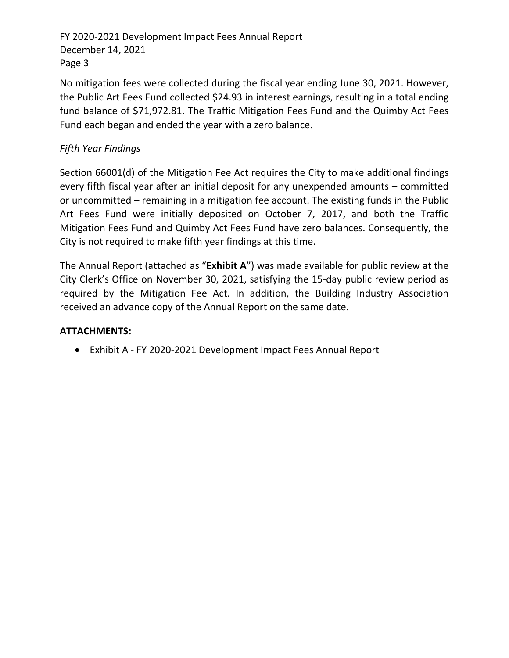FY 2020-2021 Development Impact Fees Annual Report December 14, 2021 Page 3

No mitigation fees were collected during the fiscal year ending June 30, 2021. However, the Public Art Fees Fund collected \$24.93 in interest earnings, resulting in a total ending fund balance of \$71,972.81. The Traffic Mitigation Fees Fund and the Quimby Act Fees Fund each began and ended the year with a zero balance.

## *Fifth Year Findings*

Section 66001(d) of the Mitigation Fee Act requires the City to make additional findings every fifth fiscal year after an initial deposit for any unexpended amounts – committed or uncommitted – remaining in a mitigation fee account. The existing funds in the Public Art Fees Fund were initially deposited on October 7, 2017, and both the Traffic Mitigation Fees Fund and Quimby Act Fees Fund have zero balances. Consequently, the City is not required to make fifth year findings at this time.

The Annual Report (attached as "**Exhibit A**") was made available for public review at the City Clerk's Office on November 30, 2021, satisfying the 15-day public review period as required by the Mitigation Fee Act. In addition, the Building Industry Association received an advance copy of the Annual Report on the same date.

## **ATTACHMENTS:**

• Exhibit A - FY 2020-2021 Development Impact Fees Annual Report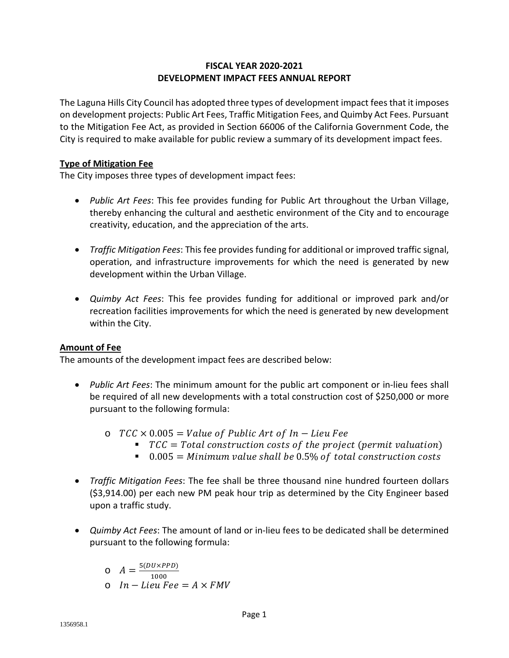#### **FISCAL YEAR 2020-2021 DEVELOPMENT IMPACT FEES ANNUAL REPORT**

The Laguna Hills City Council has adopted three types of development impact fees that it imposes on development projects: Public Art Fees, Traffic Mitigation Fees, and Quimby Act Fees. Pursuant to the Mitigation Fee Act, as provided in Section 66006 of the California Government Code, the City is required to make available for public review a summary of its development impact fees.

#### **Type of Mitigation Fee**

The City imposes three types of development impact fees:

- *Public Art Fees*: This fee provides funding for Public Art throughout the Urban Village, thereby enhancing the cultural and aesthetic environment of the City and to encourage creativity, education, and the appreciation of the arts.
- *Traffic Mitigation Fees*: This fee provides funding for additional or improved traffic signal, operation, and infrastructure improvements for which the need is generated by new development within the Urban Village.
- *Quimby Act Fees*: This fee provides funding for additional or improved park and/or recreation facilities improvements for which the need is generated by new development within the City.

#### **Amount of Fee**

The amounts of the development impact fees are described below:

- *Public Art Fees*: The minimum amount for the public art component or in-lieu fees shall be required of all new developments with a total construction cost of \$250,000 or more pursuant to the following formula:
	- o  $TCC \times 0.005 = Value of Public Art of In-Lieu Fee$ 
		- $\blacksquare$  TCC = Total construction costs of the project (permit valuation)
		- $\blacksquare$  0.005 = Minimum value shall be 0.5% of total construction costs
- *Traffic Mitigation Fees*: The fee shall be three thousand nine hundred fourteen dollars (\$3,914.00) per each new PM peak hour trip as determined by the City Engineer based upon a traffic study.
- *Quimby Act Fees*: The amount of land or in-lieu fees to be dedicated shall be determined pursuant to the following formula:

$$
\begin{array}{ll} \circ & A = \frac{5(DU \times PPD)}{1000} \\ \circ & In - Lieu \; Fee = A \times FMV \end{array}
$$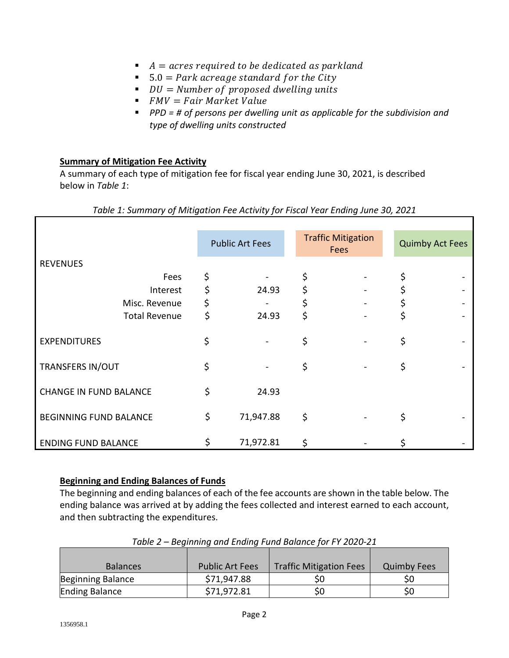- $A = \text{acres required to be dedicated as parkland}$
- $\blacksquare$  5.0 = Park acreage standard for the City
- $\blacksquare$  DU = Number of proposed dwelling units
- $\blacksquare$  FMV = Fair Market Value
- *PPD = # of persons per dwelling unit as applicable for the subdivision and type of dwelling units constructed*

#### **Summary of Mitigation Fee Activity**

A summary of each type of mitigation fee for fiscal year ending June 30, 2021, is described below in *Table 1*:

|                               | <b>Public Art Fees</b> |           | <b>Traffic Mitigation</b><br><b>Fees</b> |  | <b>Quimby Act Fees</b> |  |
|-------------------------------|------------------------|-----------|------------------------------------------|--|------------------------|--|
| <b>REVENUES</b>               |                        |           |                                          |  |                        |  |
| Fees                          | \$                     |           | \$                                       |  |                        |  |
| Interest                      | \$                     | 24.93     | \$                                       |  |                        |  |
| Misc. Revenue                 | \$                     |           | \$                                       |  |                        |  |
| <b>Total Revenue</b>          | \$                     | 24.93     | \$                                       |  |                        |  |
| <b>EXPENDITURES</b>           | \$                     |           | \$                                       |  | \$                     |  |
| TRANSFERS IN/OUT              | \$                     |           | \$                                       |  | \$                     |  |
| <b>CHANGE IN FUND BALANCE</b> | \$                     | 24.93     |                                          |  |                        |  |
| <b>BEGINNING FUND BALANCE</b> | \$                     | 71,947.88 | \$                                       |  | \$                     |  |
| <b>ENDING FUND BALANCE</b>    | \$                     | 71,972.81 | \$                                       |  |                        |  |

### *Table 1: Summary of Mitigation Fee Activity for Fiscal Year Ending June 30, 2021*

#### **Beginning and Ending Balances of Funds**

The beginning and ending balances of each of the fee accounts are shown in the table below. The ending balance was arrived at by adding the fees collected and interest earned to each account, and then subtracting the expenditures.

| <b>Balances</b>       | <b>Public Art Fees</b> | <b>Traffic Mitigation Fees</b> | <b>Quimby Fees</b> |
|-----------------------|------------------------|--------------------------------|--------------------|
| Beginning Balance     | \$71,947.88            |                                | S0                 |
| <b>Ending Balance</b> | \$71,972.81            | SO                             | SÜ                 |

*Table 2 – Beginning and Ending Fund Balance for FY 2020-21*